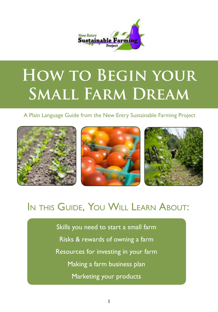

# **How to Begin your Small Farm Dream**

A Plain Language Guide from the New Entry Sustainable Farming Project



### In this Guide, You Will Learn About:

Skills you need to start a small farm Risks & rewards of owning a farm Resources for investing in your farm Making a farm business plan Marketing your products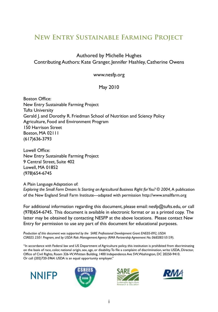### **New Entry Sustainable Farming Project**

#### Authored by Michelle Hughes Contributing Authors: Kate Granger, Jennifer Hashley, Catherine Owens

www.nesfp.org

#### May 2010

Boston Office: New Entry Sustainable Farming Project Tufts University Gerald J. and Dorothy R. Friedman School of Nutrition and Sciency Policy Agriculture, Food and Environment Program 150 Harrison Street Boston, MA 02111 (617)636-3793

Lowell Office: New Entry Sustainable Farming Project 9 Central Street, Suite 402 Lowell, MA 01852 (978)654-6745

A Plain Language Adaptation of:

Exploring the Small Farm Dream: Is Starting an Agricultural Business Right for You? © 2004, A publication of the New England Small Farm Institute---adapted with permission http://www.smallfarm.org

For additional information regarding this document, please email: nesfp@tufts.edu, or call (978)654-6745. This document is available in electronic format or as a printed copy. The latter may be obtained by contacting NESFP at the above locations. Please contact New Entry for permission to use any part of this document for educational purposes.

*Production of this document was supported by the SARE Professional Development Grant ENE05-092, USDA CSREES 2501 Program, and by USDA Risk Management Agency (RMA Partnership Agreement No. 06IE08310159).*

"In accordance with Federal law and US Department of Agriculture policy, this institution is prohibited from discriminating on the basis of race, color, national origin, sex, age, or disability. To file a complaint of discrimination, write USDA, Director, Office of Civil Rights, Room 326-W, Whitten Building, 1400 Independence Ave SW, Washington, DC 20250-9410. Or call (202)720-5964. USDA is an equal opportunity employer."







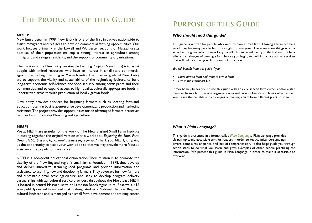### **The Producers of this Guide**

#### **NESFP**

New Entry began in 1998. New Entry is one of the first initiatives nationwide to assist immigrants and refugees to develop commercial farming opportunities. Our work focuses primarily in the Lowell and Worcester sections of Massachusetts because of their population makeup, a strong interest in agriculture among immigrant and refugee residents, and the support of community organizations.

The mission of the New Entry Susatinable Farming Project (New Entry) is to assist people with limited resources who have an interest in small-scale commercial agriculture, to begin farming in Massachusetts. The broader goals of New Entry are to support the vitality and sustainability of the region's agriculture, to build long-term economic self-reliance and food security among participants and their communities, and to expand access to high-quality, culturally appropriate foods in underserved areas through production of locally-grown foods.

New entry provides services for beginning farmers such as locating farmland, education, training, business/enterprise development, and production and marketing assistance. The project provides opportunities for disadvantaged farmers, preserves farmland, and promotes New England agriculture.

#### **NESFI**

We at NESFP are grateful for the work of The New England Small Farm Institute in putting together the orginial version of this workbook, *Exploring the Small Farm Dream: Is Starting and Agricultural Business Right for You?* Thank you, NESFI, for giving us the opportunity to adapt your workbook so that we may provide more focused assistance the populations we serve!

NESFI is a non-profit educational organization. Their mission is to promote the viability of the New England region's small farms. Founded in 1978, they develop and deliver innovative, farmer-guided programs and provide information and assistance to aspiring, new and developing farmers. They advocate for new farmers and sustainable small-scale agriculture, and seek to develop program delivery partnerships with agricultural service providers throughout the Northeast. NESFI is located in central Massachusetts on Lampson Brook Agricultural Reserve, a 416 acre publicly-owned farmstead that is designated as a National Historic Register cultural landscape and is managed as a small farm development and training center.

### **Purpose of this Guide**

#### *Who should read this guide?*

This guide is written for people who want to own a small farm. Owning a farm can be a good thing for many people, but is not right for everyone. There are many things to consider before going into business for yourself. This guide will help you think about the benefits and challenges of owning a farm before you begin, and will introduce you to services that will help you put your farm dream into action

*You will benefit from this guide if you:*

- *• Know how to farm and want to own a farm*
- *• Live in the Northeast U.S.*

It may be helpful for you to use this guide with an experienced farm owner and/or a staff member from a farm service organization, as well as with friends and family who can help you to see the benefits and challenges of owning a farm from different points of view.

#### *What is Plain Language?*

This guide is presented in a format called *Plain Language*. Plain Language provides clear, simple, and accessible text for readers in order to reduce misunderstandings, errors, complaints, enquiries, and lack of comprehension. It also helps guide you through action steps to do what you learn, and gives examples of other people practicing the information. We present this guide in Plain Language in order to make it accessible to everyone.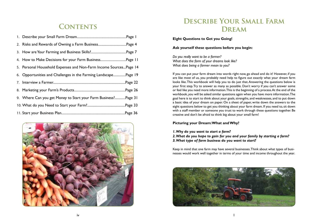### **Contents**

| 4. How to Make Decisions for your Farm BusinessPage 11             |          |  |
|--------------------------------------------------------------------|----------|--|
| 5. Personal Household Expenses and Non-Farm Income Sources Page 14 |          |  |
| 6. Opportunities and Challenges in the Farming LandscapePage 19    |          |  |
|                                                                    |          |  |
|                                                                    |          |  |
| 9. Where Can you get Money to Start your Farm Business?Page 31     |          |  |
|                                                                    |          |  |
|                                                                    | Page 36. |  |



### **Describe Your Small Farm Dream**

**Eight Questions to Get you Going!**

#### **Ask yourself these questions before you begin:**

*Do you really want to be a farmer? What does the farm of your dreams look like? What does being a farmer mean to you?*

If you can put your farm dream into words right now, go ahead and do it! However, if you are like most of us, you probably need help to figure out exactly what your dream farm looks like. This workbook will help you to do just that. Answering the questions below is your first step. Try to answer as many as possible. Don't worry if you can't answer some or feel like you need more information. This is the beginning of a process. At the end of the workbook, you will be asked similar questions again when you have more information. The goal here is to start to think about your goals, strengths, and weaknesses, and to put down a basic idea of your dream on paper. On a sheet of paper, write down the answers to the eight questions below to get you thinking about your farm dream. If you need to, sit down with a staff member or someone you trust to work through these questions together. Be creative and don't be afraid to think big about your small farm!

#### **Picturing your Dream: What and Why?**

#### *1. Why do you want to start a farm?*

*2. What do you hope to gain for you and your family by starting a farm? 3. What type of farm business do you want to start?* 

Keep in mind that one farm may have several businesses. Think about what types of businesses would work well together in terms of your time and income throughout the year.

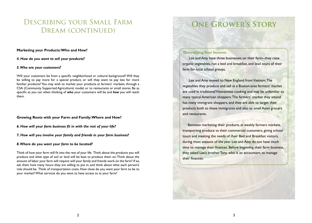### Describing your Small Farm DREAM (CONTINUED)

#### **Marketing your Products: Who and How?**

*4. How do you want to sell your products?*

#### *5. Who are your customers?*

Will your customers be from a specific neighborhood or cultural background? Will they be willing to pay more for a special product, or will they want to pay less for more familiar products? You may wish to market your products at farmers' markets, through a CSA (Community Supported Agriculture) model, or to restaurants or small stores. Be as specific as you can when thinking of *who* your customers will be and *how* you will reach them.

#### **Growing Roots with your Farm and Family: Where and How?**

- *6. How will your farm business fit in with the rest of your life?*
- *7. How will you involve your family and friends in your farm business?*

#### *8. Where do you want your farm to be located?*

Think of how your farm will fit into the rest of your life. Think about the products you will produce and what type of soil or land will be best to produce them on. Think about the amount of labor your farm will require: will your family and friends work on the farm? If so, ask them how many hours they are willing to put in, and think about what each person's role should be. Think of transportation costs. How close do you want your farm to be to your market? What services do you want to have access to at your farm?

## **One Grower's Story**

#### **Diversifying Your Income**

 Lee and Amy have three businesses on their farm--they raise organic vegetables, run a bed and breakfast, and lead tours of their farm for local school groups.

 Lee and Amy moved to New England from Vietnam. The vegetables they produce and sell at a Boston-area farmers' market are used in traditional Vietnamese cooking and may be unfamiliar to many typical American shoppers. The farmers' market they attend has many immigrant shoppers, and they are able to target their products both to these immigrants and also to small Asian grocers and restaurants.

 Between marketing their products at weekly farmers markets, transporting produce to their commercial customers, giving school tours and meeting the needs of their Bed and Breakfast visitors, during most seasons of the year Lee and Amy do not have much time to manage their finances. Before beginning their farm business, they asked Lee's brother Tony, who is an accountant, to manage their finances.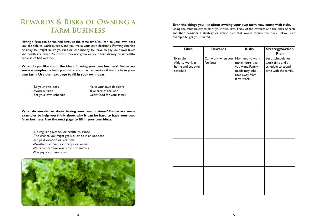### **Rewards & Risks of Owning a Farm Business**

Having a farm can be fun and scary at the same time. You can be your own boss, you are able to work outside, and you make your own decisions. Farming can also be risky. You might injure yourself or lose money. You have to pay your own taxes and health insurance. Your crops may not grow or your animals may be unhealthy because of bad weather.

**What do you like about the idea of having your own business? Below are some examples to help you think about what makes it fun to have your own farm. Use the next page to fill in your own ideas.**

-Work outside **-Work outside** -Take care of the land

-Be your own boss -Make your own decisions -Set your own schedule -Grow food for your family

**What do you dislike about having your own business? Below are some examples to help you think about why it can be hard to have your own farm business. Use the next page to fill in your own ideas.**

-No regular paycheck or health insurance -The chance you might get sick or be in an accident -No paid vacation or sick time -Weather can hurt your crops or animals -Pests can damage your crops or animals -You pay your own taxes



**Even the things you like about owning your own farm may come with risks.**  Using the table below, think of your own likes. Think of the rewards and the risks of each, and then consider a strategy or action plan that would reduce the risks. Below is an example to get you started.

| <b>Likes</b>                                                | <b>Rewards</b>                 | <b>Risks</b>                                                                                             | <b>Strategy/Action</b><br>Plan                                                      |
|-------------------------------------------------------------|--------------------------------|----------------------------------------------------------------------------------------------------------|-------------------------------------------------------------------------------------|
| Example:<br>Able to work at<br>home and set own<br>schedule | Can work when you<br>feel best | May need to work<br>more hours than<br>you want. Family<br>needs may take<br>time away from<br>farm work | Set a schedule for<br>work time and a<br>schedule to spend<br>time with the family. |
|                                                             |                                |                                                                                                          |                                                                                     |
|                                                             |                                |                                                                                                          |                                                                                     |
|                                                             |                                |                                                                                                          |                                                                                     |
|                                                             |                                |                                                                                                          |                                                                                     |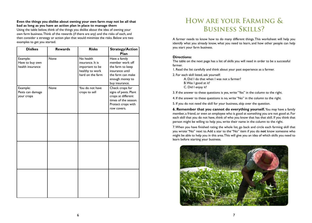#### **Even the things you dislike about owning your own farm may not be all that bad as long as you have an action plan in place to manage them**

Using the table below, think of the things you dislike about the idea of owning your own farm business. Think of the rewards (if there are any) and the risks of each, and then consider a strategy or action plan that would minimize the risks. Below are two examples to get you started.

| <b>Dislkes</b>                                  | <b>Rewards</b> | <b>Risks</b>                                                                            | <b>Strategy/Action</b><br>Plan                                                                                                    |
|-------------------------------------------------|----------------|-----------------------------------------------------------------------------------------|-----------------------------------------------------------------------------------------------------------------------------------|
| Example:<br>Have to buy own<br>health insurance | <b>None</b>    | No health<br>insurance. It is<br>important to be<br>healthy to work<br>hard on the farm | Have a family<br>member work off<br>the farm to keep<br>insurance until<br>the farm can make<br>enough money to<br>buy insurance. |
| Example:<br>Pests can damage<br>your crops      | None           | You do not have<br>crops to sell                                                        | Check crops for<br>signs of pests. Plant<br>crops at different<br>times of the season.<br>Protect crops with<br>row covers.       |
|                                                 |                |                                                                                         |                                                                                                                                   |
|                                                 |                |                                                                                         |                                                                                                                                   |
|                                                 |                |                                                                                         |                                                                                                                                   |

### **How are your Farming & Business Skills?**

A farmer needs to know how to do many different things. This worksheet will help you identify what you already know, what you need to learn, and how other people can help you start your farm business.

#### **Directions:**

The table on the next page has a list of skills you will need in order to be a successful farmer.

1. Read the list carefully and think about your past experience as a farmer.

2. For each skill listed, ask yourself:

A. Did I do that when I was not a farmer? B. Was I good at it? C. Did I enjoy it?

3. If the answer to these questions is yes, write "Yes" in the column to the right.

4. If the answer to these questions is no, write "No" in the column to the right.

5. If you do not need the skill for your business, skip over the question.

**6. Remember that you cannot do everything yourself.** You may have a family member, a friend, or even an employee who is good at something you are not good at. For each skill that you do not have, think of who you know that has that skill. If you think that person might be willing to help you, write their name in the column to the right.

7. When you have finished rating the whole list, go back and circle each farming skill that you wrote "No" next to. Add a star to the "No" item if you do **not** know someone who might be able to help you in this area. This will give you an idea of which skills you need to learn before starting your business.

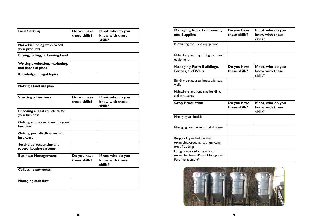| <b>Goal Setting</b>                                   | Do you have<br>these skills? | If not, who do you<br>know with these<br>skills? |
|-------------------------------------------------------|------------------------------|--------------------------------------------------|
| Markets: Finding ways to sell<br>your products        |                              |                                                  |
| Buying, Selling, or Leasing Land                      |                              |                                                  |
| Writing production, marketing,<br>and financial plans |                              |                                                  |
| Knowledge of legal topics                             |                              |                                                  |
| Making a land use plan                                |                              |                                                  |
| <b>Starting a Business</b>                            | Do you have<br>these skills? | If not, who do you<br>know with these<br>skills? |
| Choosing a legal structure for<br>your business       |                              |                                                  |
| Getting money or loans for your<br><b>business</b>    |                              |                                                  |
| Getting permits, licenses, and<br>insurance           |                              |                                                  |
| Setting up accounting and<br>record-keeping systems   |                              |                                                  |
| <b>Business Management</b>                            | Do you have<br>these skills? | If not, who do you<br>know with these<br>skills? |
| <b>Collecting payments</b>                            |                              |                                                  |
| <b>Managing cash flow</b>                             |                              |                                                  |

| <b>Managing Tools, Equipment,</b><br>and Supplies                                           | Do you have<br>these skills? | If not, who do you<br>know with these<br>skills? |
|---------------------------------------------------------------------------------------------|------------------------------|--------------------------------------------------|
| Purchasing tools and equipment                                                              |                              |                                                  |
| Maintaining and repariring tools and<br>equipment                                           |                              |                                                  |
| <b>Managing Farm Buildings,</b><br><b>Fences, and Wells</b>                                 | Do you have<br>these skills? | If not, who do you<br>know with these<br>skills? |
| Building barns, greenhouses, fences,<br>wells                                               |                              |                                                  |
| Maintaining and repairing buildings<br>and structures                                       |                              |                                                  |
| <b>Crop Production</b>                                                                      | Do you have<br>these skills? | If not, who do you<br>know with these<br>skills? |
| Managing soil health                                                                        |                              |                                                  |
| Managing pests, weeds, and diseases                                                         |                              |                                                  |
| Responding to bad weather<br>(examples: drought, hail, hurricane,<br>frost, flooding)       |                              |                                                  |
| Using conservation practices<br>(examples: low-till/no-till, Integrated<br>Pest Management) |                              |                                                  |

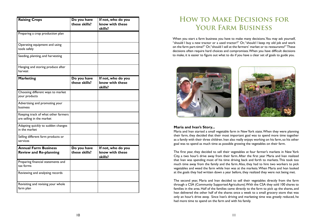| <b>Raising Crops</b>                                             | Do you have<br>these skills? | If not, who do you<br>know with these<br>skills? |
|------------------------------------------------------------------|------------------------------|--------------------------------------------------|
| Preparing a crop production plan                                 |                              |                                                  |
| Operating equipment and using<br>tools safely                    |                              |                                                  |
| Seeding, planting, and harvesting                                |                              |                                                  |
| Hanging and storing produce after<br>harvest                     |                              |                                                  |
| <b>Marketing</b>                                                 | Do you have<br>these skills? | If not, who do you<br>know with these<br>skills? |
| Choosing different ways to market<br>your products               |                              |                                                  |
| Advertising and promoting your<br>business                       |                              |                                                  |
| Keeping track of what other farmers<br>are selling in the market |                              |                                                  |
| Adapting quickly to sudden changes<br>in the market              |                              |                                                  |
| Selling different farm products or<br>services                   |                              |                                                  |
| <b>Annual Farm Business</b><br><b>Review and Re-planning</b>     | Do you have<br>these skills? | If not, who do you<br>know with these<br>skills? |
| Preparing financial statements and<br>tax forms                  |                              |                                                  |
| Reviewing and analyzing records                                  |                              |                                                  |
| Revisiting and revising your whole<br>farm plan                  |                              |                                                  |

### **How to Make Decisions for Your Farm Business**

When you start a farm business you have to make many decisions. You may ask yourself, "should I buy a new tractor or a used tractor?" Or, "should I keep my old job and work on the farm part-time?" Or, "should I sell at the farmers' market or to restaurants?" These decisions often require hard choices and compromises. When you have difficult decisions to make, it is easier to figure out what to do if you have a clear set of goals to guide you.



#### **Maria and Ivan's Story...**

Maria and Ivan started a small vegetable farm in New York state. When they were planning their farm, they decided that their most important goal was to spend more time together as a family with their three children. Ivan also really enjoys working on his farm, so his other goal was to spend as much time as possible growing the vegetables on their farm.

The first year, they decided to sell their vegetables at four farmer's markets in New York City, a two hour's drive away from their farm. After the first year Maria and Ivan realized that Ivan was spending most of his time driving back and forth to markets. This took too much time away from the family and the farm. Also, they had to hire two workers to pick vegetables and weed the farm while Ivan was at the markets. When Maria and Ivan looked at the goals they had written down a year before, they realized they were not being met.

The second year, Maria and Ivan decided to sell their vegetables directly from the farm through a CSA (Community Supported Agriculture). With the CSA they sold 100 shares to families in the area. Half of the families came directly to the farm to pick up the shares, and Ivan delivered the other half of the shares once a week to a small grocery store that was only an hour's drive away. Since Ivan's driving and marketing time was greatly reduced, he had more time to spend on the farm and with his family.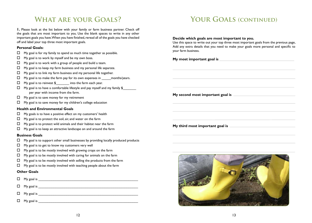### **What are your Goals?**

**1.** Please look at the list below with your family or farm business partner. Check off the goals that are most important to you. Use the blank spaces to write in any other important goals you have. When you have finished, reread all of the goals you have checked off and label your top three most important goals.

#### **Personal Goals:**

- $\Box$  My goal is for my family to spend as much time together as possible.
- $\Box$  My goal is to work by myself and be my own boss.
- $\Box$  My goal is to work with a group of people and build a team.
- $\Box$  My goal is to keep my farm business and my personal life separate.
- $\Box$  My goal is to link my farm business and my personal life together.
- $\Box$  My goal is to make the farm pay for its own expenses in  $\Box$  months/years.
- $\Box$  My goal is to reinvest \$ into the farm each year.
- $\Box$  My goal is to have a comfortable lifestyle and pay myself and my family \$ per year with income from the farm.
- $\Box$  My goal is to save money for my retirement
- $\Box$  My goal is to save money for my children's college education

#### **Health and Environmental Goals**

- $\Box$  My goals is to have a positive effect on my customers' health
- $\Box$  My goal is to protect the soil, air, and water on the farm
- $\Box$  My goal is to protect wild animals and their habitat near the farm
- $\Box$  My goal is to keep an attractive landscape on and around the farm

#### **Business Goals**

- $\Box$  My goal is to support other small businesses by providing locally produced products
- $\Box$  My goal is to get to know my customers very well
- $\Box$  My goal is to be mostly involved with growing crops on the farm
- $\Box$  My goal is to be mostly involved with caring for animals on the farm
- $\Box$  My goal is to be mostly involved with selling the products from the farm
- $\Box$  My goal is to be mostly involved with teaching people about the farm

#### **Other Goals**

| $\Box$ My goal is $\Box$         |
|----------------------------------|
| $\Box$ My goal is ______________ |
|                                  |
| $\Box$ My goal is $\Box$         |

### YOUR GOALS (CONTINUED)

#### **Decide which goals are most important to you.**

Use this space to write out your top three most important goals from the previous page, Add any extra details that you need to make your goals more personal and specific to your farm business.

**My second most important goal is** 

**My third most important goal is**

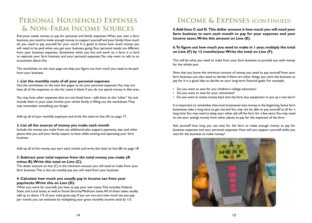### **Personal Household Expenses & Non-Farm Income Sources**

Everyone needs money to pay for personal and family expenses. When you own a farm business, you need to make enough money to support yourself and your family. How much do you need to pay yourself for your work? It is good to know how much money you will need to be paid when you get your business going. Your personal needs are different from your business expenses. Sometimes when you live and work on a farm, it is hard to separate your farm business and your personal expenses. You may want to talk to an accountant about this.

The worksheet on the next page can help you figure out how much you need to be paid from your business.

#### **1. List the monthly costs of all your personal expenses**

Use the worksheet on the next few pages to list your personal expenses. You may not have all of the expenses on the list. Leave it blank if you do not spend money in that area.

You may have other expenses that are not listed here—add them to the "other" list and include them in your total. Involve your whole family in filling out the worksheet. They may remember something you forget.

Add up all of your monthly expenses and write the total on line (A) on page 17.

#### **2. List all the sources of money you make each month**

Include the money you make from any additional jobs, support payments, tips, and other places that you and your family expect to have while owning and operating your farm business.

Add up all of the money you earn each month and write the total on line (B) on page 18.

#### **3. Subtract your total expense from the total money you make (A minus B). Write this total on Line (C).**

The dollar amount on line (C) is the minimum amount you will need to make from your farm business. This is the *net monthly pay* you will need from your business.

#### **4. Calculate how much you usually pay in income tax from your paychecks. Write this on Line (D).**

When you work for yourself, you have to pay your own taxes. This includes: Federal, State, and Local taxes, as well as Social Security/Medicare taxes. All of these taxes usually add up to about 1/3 of your total gross pay. If you are not sure how much tax you pay per month, you can estimate by multiplying your gross monthly income total by 1/3.

### **Income & Expenses (continued)**

**5. Add lines C and D. This dollar amount is how much you will need your farm business to earn each month to pay for your expenses and your income taxes. Write this amount on Line (E).**

#### **6. To figure out how much you need to make in 1 year, multiply the total on Line (F) by 12 months/year. Write the total on Line (F).**

This will be what you need to make from your farm business to provide you with money for the whole year.

Now that you know the minimum amount of money you need to pay yourself from your farm business, you also need to decide if there are other things you want the business to pay for. It is a good idea to decide on your long-term financial goals. For example:

- Do you want to save for you children's college education?
- Do you want to save for your retirement?
- Do you want to invest money back into the farm, buy equipment or put up a new barn?

It is important to remember that most businesses lose money in the beginning. Some farm businesses take a long time to get started. You may not be able to pay yourself at all for a long time. You may need to keep your other job off the farm for a few years. You may need to use your savings money from other places to pay for the expenses of the farm.

Ask yourself how long you can wait for the farm to make enough money to pay for business expenses and your personal expenses. How will you support yourself while you wait for the business to make money?

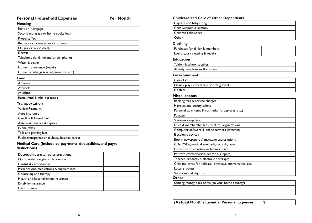### Personal Household Expenses **Per Month**

#### **Housing**

| Rent or Mortgage                           |  |
|--------------------------------------------|--|
| Second mortgage or home equity loan        |  |
| <b>Property Tax</b>                        |  |
| Renter's or homeowner's insurance          |  |
| Oil, gas, or wood (heat)                   |  |
| Electric                                   |  |
| Telephone (land line and/or cell phone)    |  |
| Water & sewer                              |  |
| Home maintenance (repairs)                 |  |
| Home furnishings (carpet, furniture, etc.) |  |

#### **Food**

| At home                     |  |
|-----------------------------|--|
| At work                     |  |
| At school                   |  |
| Restaurand & take-out meals |  |

#### **Transportation**

| Vehicle Payments                                |  |
|-------------------------------------------------|--|
| Auto insurance                                  |  |
| <b>Gasoline &amp; Diesel fuel</b>               |  |
| Auto maintenance & repairs                      |  |
| <b>Excise taxes</b>                             |  |
| Tolls and parking fees                          |  |
| Public transportation (subway, bus, taxi fares) |  |

#### **Medical Care (include co-payments, deductibles, and payroll deductions)**

| Doctor, chiropractor, other practitioner |  |
|------------------------------------------|--|
| Optometrist, eyeglasses & contacts       |  |
| Dentist & orthodontist                   |  |
| Prescriptions, medications & supplements |  |
| Counseling and therapy                   |  |
| Health and hospitalization insurance     |  |
| Disability insurance                     |  |
| Life insurance                           |  |

#### **Childcare and Care of Other Dependents**

| Childcare and Care of Other Dependents                       |  |
|--------------------------------------------------------------|--|
| Daycare and babysitting                                      |  |
| Child Support & alimony                                      |  |
| Children's allowance                                         |  |
| Other                                                        |  |
| <b>Clothing</b>                                              |  |
| Purchases for all family members                             |  |
| Laundry, dry cleaning & repairs                              |  |
| <b>Education</b>                                             |  |
| Tuition & school supplies                                    |  |
| Activity fees, lessons & courses                             |  |
| <b>Entertainment</b>                                         |  |
| Cable TV                                                     |  |
| Movies, plays, concerts, & sporting events                   |  |
| <b>Hobbies</b>                                               |  |
| <b>Miscellaneous</b>                                         |  |
| Banking fees & service charges                               |  |
| Haircuts and beauty salons                                   |  |
| Personal care items & cosmetics (drugstores, etc.)           |  |
| Postage                                                      |  |
| Stationary supplies                                          |  |
| Dues & membership fees to clubs, organizations               |  |
| Computer software & online services (Internet)               |  |
| <b>Electronic devices</b>                                    |  |
| Books, newspapers & magazine subscriptions                   |  |
| CDs, DVDs, music downloads, records, tapes                   |  |
| Donations to charities, including church                     |  |
| Pet care (verterinarian, pet food, supplies)                 |  |
| Tobacco products & alcoholic beverages                       |  |
| Gifts and cards for holidays, birthdays, anniversaries, etc. |  |
| Lottery tickets                                              |  |
| Vacations and day trips                                      |  |
| Other                                                        |  |
| Sending money back home (to your home country)               |  |
|                                                              |  |
|                                                              |  |

**(A) Total Monthly Essential Personal Expenses \$**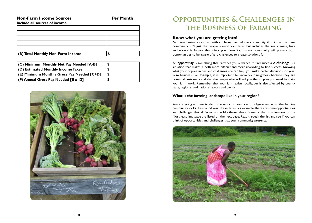#### **Non-Farm Income Sources The Contract Per Month**

**Include all sources of income**

**(B) Total Monthly Non-Farm Income \$**

| (C) Minimum Monthly Net Pay Needed [A-B]   |  |
|--------------------------------------------|--|
| (D) Estimated Monthly Income Taxes         |  |
| (E) Minimum Monthly Gross Pay Needed [C+D] |  |
| $ $ (F) Annual Gross Pay Needed [E x 12]   |  |



### **Opportunities & Challenges in the Business of Farming**

#### **Know what you are getting into!**

No farm business can run without being part of the community it is in. In this case, community isn't just the people around your farm, but includes the soil, climate, laws, and economic factors that affect your farm. Your farm's community will present both opportunities to be aware of and challenges to create solutions for.

An *opportunity* is something that provides you a chance to find success. A *challenge* is a situation that makes it both more difficult and more rewarding to find success. Knowing what your opportunities and challenges are can help you make better decisions for your farm business. For example, it is important to know your neighbors because they are potential customers and also the people who will sell you the supplies you need to make your farm work. Remember that your farm exists locally, but is also affected by county, state, regional, and national factors and trends.

#### **What is the farming landscape like in your region?**

You are going to have to do some work on your own to figure out what the farming community looks like around your dream farm. For example, there are some opportunities and challenges that all farms in the Northeast share. Some of the main features of the Northeast landscape are listed on the next page. Read through the list and see if you can think of opportunities and challenges that your community presents.

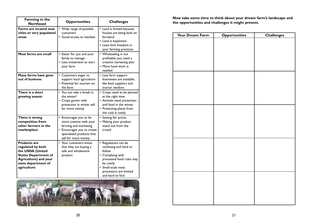| <b>Farming in the</b><br><b>Northeast</b>                                                                                                                         | <b>Opportunities</b>                                                                                                                                         | <b>Challenges</b>                                                                                                                                                                        |  |  |
|-------------------------------------------------------------------------------------------------------------------------------------------------------------------|--------------------------------------------------------------------------------------------------------------------------------------------------------------|------------------------------------------------------------------------------------------------------------------------------------------------------------------------------------------|--|--|
| Farms are located near<br>cities or very populated<br>areas                                                                                                       | • Wide range of possible<br>customers<br>• Good access to markets                                                                                            | • Land is limited because<br>houses are being built on<br>farmland<br>• Land is expensive<br>• Laws limit freedom in<br>your farming practices                                           |  |  |
| Most farms are small                                                                                                                                              | • Easier for you and your<br>family to manage<br>• Less investment to start<br>your farm                                                                     | • Wholesaling is not<br>profitable; you need a<br>creative marketing plan<br>• More hand work is<br>needed                                                                               |  |  |
| Many farms have gone<br>out of business                                                                                                                           | • Customers eager to<br>support local agriculture<br>• Potential for tourism on<br>the farm                                                                  | • Less farm support<br>businesses are available,<br>like feed suppliers and<br>tractor vendors                                                                                           |  |  |
| There is a short<br>growing season                                                                                                                                | • You can take a break in<br>the winter!<br>• Crops grown with<br>protection in winter sell<br>for more money                                                | • Crops need to be planted<br>at the right time<br>• Animals need protection<br>and food in the winter<br>• Protecting plants from<br>the cold is costly                                 |  |  |
| There is strong<br>competition from<br>other farmers in the<br>marketplace                                                                                        | • Encourages you to be<br>more creative with your<br>farming and marketing<br>• Encourages you to create<br>specialized products that<br>sell for more money | • Setting fair prices<br>• Making your product<br>stand out from the<br>crowd                                                                                                            |  |  |
| <b>Products are</b><br>regulated by both<br>the USDA (United<br><b>States Department of</b><br><b>Agriculture) and your</b><br>state department of<br>agriculture | • Your customers know<br>that they are buying a<br>safe and wholesome<br>product                                                                             | • Regulations can be<br>confusing and hard to<br>follow<br>• Complying with<br>processed food rules may<br>be costly<br>• Small-scale meat<br>processors are limited<br>and hard to find |  |  |



**Now take some time to think about your dream farm's landscape and<br>Rortheast <b>Deportunities Challenges** and **Challenges** the opportunities and challenges it might present.

| Your Dream Farm | <b>Opportunities</b> | <b>Challenges</b> |
|-----------------|----------------------|-------------------|
|                 |                      |                   |
|                 |                      |                   |
|                 |                      |                   |
|                 |                      |                   |
|                 |                      |                   |
|                 |                      |                   |
|                 |                      |                   |
|                 |                      |                   |
|                 |                      |                   |
|                 |                      |                   |
|                 |                      |                   |
|                 |                      |                   |
|                 |                      |                   |
|                 |                      |                   |
|                 |                      |                   |
|                 |                      |                   |
|                 |                      |                   |
|                 |                      |                   |
|                 |                      |                   |
|                 |                      |                   |
|                 |                      |                   |
|                 |                      |                   |
|                 |                      |                   |
|                 |                      |                   |
|                 |                      |                   |
|                 |                      |                   |
|                 |                      |                   |
|                 |                      |                   |
|                 |                      |                   |
|                 |                      |                   |
|                 |                      |                   |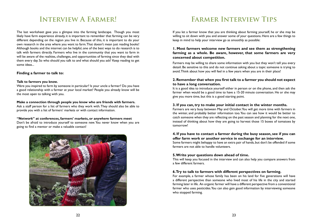### **Interview A Farmer!**

The last worksheet gave you a glimpse into the farming landscape. Though you most likely have farm experience already, it is important to remember that farming can be very different depending on the region you live in. Because of this, it is important to do your own research in the area where you want to farm. That doesn't mean just reading books! Although books and the internet can be helpful, one of the best ways to do research is to talk with farmers directly. Farmers who live in the community that you want to farm in will be aware of the realities, challenges, and opportunities of farming since they deal with them every day. So who should you talk to and what should you ask? Keep reading to get some ideas...

#### **Finding a farmer to talk to:**

#### **Talk to farmers you know.**

Were you inspired to farm by someone in particular? Is your uncle a farmer? Do you have a good relationship with a farmer at your local market? People you already know will be the most open to talking with you.

#### **Make a connection through people you know who are friends with farmers.**

Ask a staff person for a list of farmers who they work with. They should also be able to provide you with a list of farmers' markets or with contact information.

#### **"Network" at conferences, farmers' markets, or anywhere farmers meet**

Don't be afraid to introduce yourself to someone new. You never know when you are going to find a mentor or make a valuable contact!



### **Farmer Interview Tips**

If you let a farmer know that you are thinking about farming yourself, he or she may be willing to sit down with you and answer some of your questions. Here are a few things to keep in mind to help your interview go as smoothly as possible:

#### **1. Most farmers welcome new farmers and see them as strengthening farming as a whole. Be aware, however, that some farmers are very concerned about competition.**

Farmers may be willing to share some information with you but they won't tell you every detaiil. Be sensitive to this and do not continue asking about a topic someone is trying to avoid. Think about how you will feel in a few years when you are in their place!

#### **2. Remember that when you first talk to a farmer you should not expect to have a long conversation.**

It is a good idea to introduce yourself either in person or on the phone, and then ask the farmer when would be a good time to have a 15-20 minute conversation. He or she may give you more time, but this is a good starting point.

#### **3. If you can, try to make your initial contact in the winter months.**

Farmers are very busy between May and October. You will get more time with farmers in the winter, and probably better information too. You can see how it would be better to catch someone when they are reflecting on the past season and planning for the next one, instead of thinking about how they are going to harvest those 15 boxes of tomatoes by tomorrow!

#### **4. If you have to contact a farmer during the busy season, see if you can offer farm work or another service in exchange for an interview.**

Some farmers might behappy to have an extra pair of hands, but don't be offended if some farmers are not able to handle volunteers.

#### **5. Write your questions down ahead of time.**

This will keep you focused in the interview and can also help you compare answers from a few different farmers.

#### **6. Try to talk to farmers with different perspectives on farming.**

For example, a farmer whose family has been on his land for five generations will have a different perspective than someone who lived most of his life in the city and started farming later in life. An organic farmer will have a different perspective from a conventional farmer who uses pesticides. You can also gain good information by interviewing someone who stopped farming.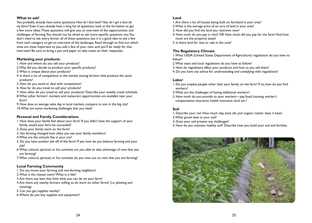#### **What to ask?**

You probably already have some questions: *How do I find land? How do I get a loan for my farm?* Even if you already have a long list of questions, look at the list below to get a few more ideas. These questions will give you an overview of the opportunities and challenges of farming. You should not be afraid to ask more specific questions too. You don't need to ask every farmer all of these questions, but it is a good idea to ask a few from each category to get an overview of the landscape. Read through to find out which ones are most important to you, add a few of your own, and you'll be ready for that interview! Be sure to bring a pen and paper to take notes on their responses.

#### **Marketing your products:**

- 1. How and where do you sell your products?
- 2. Why did you decide to produce your specific products?
- 3. What is unique about your products?
- 4. Is there a lot of competition in the market among farmers that produce the same products?
- 5. How do you avoid or deal with competition?
- 6. How far do you travel to sell your products?
- 7. How often do you travel to sell your products? Describe your weekly travel schedule. 8. What other farmers' markets and restaurant opportunities are available near your farm?
- 9. How dow an average sales day in local markets compare to one in the big city? 10. What are some marketing challenges that you have?

#### **Personal and Family Considerations**

- 1. How does your family feel about your farm? If you didn't have the support of your family, would your farm be successful?
- 2. Does your family work on the farm?
- 3. Has farming changed how often you see your family members?
- 4. What are the schools like in your are?
- 5. Do you have another job off of the farm? If yes, how do you balance farming and your iob?
- 6. What cultural, spiritual, or fun activities are you able to take advantage of now that you are farming?
- 7. What cultural, spiritual, or fun activities do you miss out on now that you are farming?

#### **Local Farming Community**

- 1. Do you know your farming and non-farming neighbors?
- 2. What is the closest town? What is it like?
- 3. Are there any laws that limit what you can do on your farm?
- 4. Are there any nearby farmers willing to do work on other farms? (i.e. plowing and mowing)
- 5. Can you get supplies nearby?
- 6. Where do you buy supplies and equipment?

#### **Land**

1. Are there a lot of houses being built on farmland in your area?

- 2. What is the average price of an acre of land in your area?
- 3. How did you find the land you rent/own now?
- 4. How much do you pay in rent? OR How much did you pay for the farm? And how much are the property taxes?
- 5. Is there land for rent or sale in the area?

#### **The Regulatory Climate**

1. What USDA (United States Department of Agriculture) regulations do you have to follow?

2. What state and local regulations do you have to follow?

- 3. How do regulations affect your products and how to you sell them?
- 4. Do you have any advice for understanding and complying with regulations?

#### **Labor**

- 1. Do you employ people other than your family on the farm? If so, how do you find workers?
- 2. What are the challenges of having additional workers?
- 3. How much do you provide to your workers—pay, food, housing, worker's compensation insurance, health insurance, land, etc.?

#### **Soil**

- 1. Describe your soil. How much clay, sand, silt, and organic matter does it have?
- 2. What grows best in your soil?
- 3. Does your soil present any challenges?
- 4. How do you maintain healthy soil? Describe how you build your soil and fertilize.

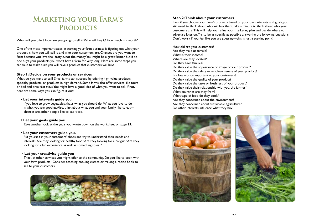### **Marketing your Farm's PRODUCTS**

What will you offer? How are you going to sell it? Who will buy it? How much is it worth?

One of the most important steps in starting your farm business is figuring out what your product is, how you will sell it, and who your customers are. Chances are you want to farm because you love the lifestyle, not the money. You might be a great farmer, but if no one buys your products you won't have a farm for very long! Here are some steps you can take to make sure you will have a product that customers will buy:

#### **Step 1: Decide on your products or services**

What do you want to sell? Small farms can succeed by offering high-value products, specialty products, or products in high demand. Some farms also offer services like tours or bed and breakfast stays. You might have a good idea of what you want to sell. If not, here are some ways you can figure it out:

#### **• Let your interests guide you.**

If you love to grow vegetables, that's what you should do! What you love to do is what you are good at. Also, think about what you and your family like to eat chances are, other people like to eat it too.

#### **• Let your goals guide you.**

Take another look at the goals you wrote down on the worksheet on page 13.

#### **• Let your customers guide you.**

Put yourself in your customers' shoes and try to understand their needs and interests. Are they looking for healthy food? Are they looking for a bargain? Are they looking for a fun experience as well as something to eat?

#### • **Let your creativity guide you**

Think of other services you might offer to the community. Do you like to cook with your farm products? Consider teaching cooking classes or making a recipe book to sell to your customers.



#### **Step 2: Think about your customers**

Even if you choose your farm's products based on your own interests and goals, you still need to think about who will buy them. Take a minute to think about who your customers are. This will help you refine your marketing plan and decide where to advertise later on. Try to be as specific as possible answering the following questions. Don't worry if you feel like you are guessing—this is just a starting point!

How old are your customers? Are they male or female? What is their income? Where are they located? Do they have families? Do they value the appearance or image of your product? Do they value the safety or wholesomeness of your product? Is a low wprice important to your customers? Do they value the quality of your product? Do they value the taste or freshness of your product? Do they value their relationship with you, the farmer? What countries are they from? What type of food do they cook? Are they concerned about the environment? Are they concerned about sustainable agriculture? Do other interests influence what they buy?

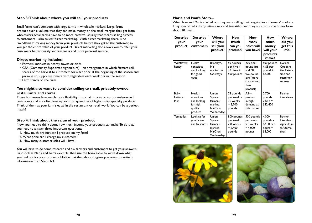#### **Step 3: Think about where you will sell your products**

Small farms can't compete with large farms in wholesale markets. Large farms produce such a volume that they can make money on the small margins they get from wholesalers. Small farms have to be more creative. Usually that means selling directly to customers—also called "direct marketing." With direct marketing there is no "middleman" making money from your products before they get to the customer, so you get the entire value of your product. Direct marketing also allows you to offer your customers better quality and freshness and more personal service.

#### **Direct marketing includes:**

- Farmers' markets in nearby towns or cities
- CSA (Community Supported Agriculture)—an arrangement in which farmers sell shares of the harvest to customers for a set price at the beginning of the season and promise to supply customers with vegetables each week during the season
- Farm stands on the farm

#### **You might also want to consider selling to small, privately-owned restaurants and stores**

These businesses have much more flexibility than chain stores or corporately-owned restaurants and are often looking for small quantities of high-quality specialty products. Think of them as your farm's equal in the restaurant or retail world. You can be a perfect match!

#### **Step 4: Think about the value of your product**

Now you need to think about how much income your products can make. To do that you need to answer three important questions:

- 1. How much product can I produce on my farm?
- 2. What price can I charge my customers?
- 3. How many customer sales will I have?

You will have to do some research and ask farmers and customers to get your answers. First look at Maria and Ivan's example, then use the blank table to write down what you find out for your products. Notice that the table also gives you room to write in information from Steps 1-3.

#### **Maria and Ivan's Story...**

When Ivan and Maria started out they were selling their vegetables at farmers' markets. They specialized in baby lettuce mix and tomatillos and they also had some honey from about 10 hives.

| <b>Describe</b><br>your<br>product | <b>Describe</b><br>your<br>customers                                 | Where<br>will you<br>sell your<br>product?                     | <b>How</b><br>much<br>can you<br>produce?                         | <b>How</b><br>many<br>sales will<br>you have?                                                   | <b>How</b><br>much<br>money<br>will your<br>products<br>make? | Where<br>did you<br>get this<br>info?                                 |
|------------------------------------|----------------------------------------------------------------------|----------------------------------------------------------------|-------------------------------------------------------------------|-------------------------------------------------------------------------------------------------|---------------------------------------------------------------|-----------------------------------------------------------------------|
| Wildflower<br>honey                | Health<br>conscious<br>and looking<br>for good<br>value              | Brooklyn,<br><b>NY</b><br>market on<br>Saturdays               | 50 pounds<br>per hive x<br>$10$ hives $=$<br>500 pounds           | 200 one-<br>pound jars<br>and $60$<br>five-pound<br>jars (more<br>customers<br>than<br>product) | 500 pounds<br>x \$5 per<br>$pound =$<br>\$2,500               | Cornell<br>Coopera-<br>tive Exten-<br>sion and<br>customer<br>surveys |
| Baby<br>Lettuce<br><b>Mix</b>      | Health<br>conscious<br>and looking<br>for high<br>quality<br>product | Union<br>Square<br>farmers'<br>market.<br>NYC on<br>Wednesdays | 75 pounds<br>per week x<br>36 weeks<br>$= 2,700$<br>pounds        | $All$ —<br>product<br>in high<br>demand at<br>this market                                       | 2,700<br>pounds<br>$x $12 =$<br>\$32,400                      | Farmer<br>interviews                                                  |
| <b>Tomatillos</b>                  | Looking for<br>good value<br>and freshness                           | Union<br>Square<br>farmers'<br>market,<br>NYC on<br>Wednesdays | 800 pounds<br>per week<br>$\times$ 8 weeks<br>$= 6,400$<br>pounds | 500 pounds<br>per week<br>x 8 weeks<br>$= 4,000$<br>pounds                                      | 4,000<br>pounds x<br>\$2.00 per<br>$pouns =$<br>\$8,000       | Farmer<br>interviews,<br>Agricultur-<br>al Alterna-<br>tives          |



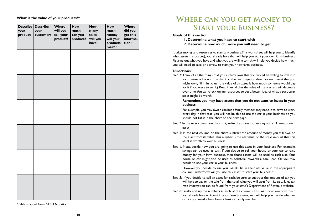#### **What is the value of your products?\***

| your<br>product | Describe Describe<br>your<br>customers | Where<br>will you<br>sell your<br>product? | How<br>much<br>can you<br>produce? | How<br>many<br>sales<br>will you<br>have? | <b>How</b><br>much<br>money<br>will your<br>products<br>make? | Where<br>did you<br>get this<br>informa-<br>tion? |
|-----------------|----------------------------------------|--------------------------------------------|------------------------------------|-------------------------------------------|---------------------------------------------------------------|---------------------------------------------------|
|                 |                                        |                                            |                                    |                                           |                                                               |                                                   |
|                 |                                        |                                            |                                    |                                           |                                                               |                                                   |
|                 |                                        |                                            |                                    |                                           |                                                               |                                                   |
|                 |                                        |                                            |                                    |                                           |                                                               |                                                   |
|                 |                                        |                                            |                                    |                                           |                                                               |                                                   |
|                 |                                        |                                            |                                    |                                           |                                                               |                                                   |

\*Table adapted from NESFI Notation

### **Where can you get Money to Start your Business?**

**Goals of this section:** 

**1. Determine what you have to start with 2. Determine how much more you will need to get**

It takes money and resources to start any business. This worksheet will help you to identify what assets (resources), you already have that will help you start your own farm business. Figuring out what you have and what you are willing to risk will help you decide how much you will need to save or borrow to start your new farm business.

#### **Directions:**

*Step 1:* Think of all the things that you already own that you would be willing to invest in your business. Look at the chart on the next page for ideas. For each asset that you might own, fill in its value (the value of an asset is how much someone would pay for it if you were to sell it). Keep in mind that the value of many assets will decrease over time. You can check online resources to get a better idea of what a particular asset might be worth.

#### **Remember, you may have assets that you do not want to invest in your business!**

For example, you may own a car, but a family member may need it to drive to work every day. In that case, you will not be able to use the car in your business, so you should not list it in the chart on the next page.

- *Step 2:* In the next column on the chart, write the amount of money you still owe on each asset
- *Step 3:* In the next column on the chart, subtract the amount of money you still owe on the asset from its value. This number is the net value, or the total amount that this asset is worth to your business.
- *Step 4:* Next, decide how you are going to use this asset in your business. For example, savings can be used as cash. If you decide to sell your house or your car to raise money for your farm business, then those assets will be used as cash also. Your house or car might also be used as collateral towards a bank loan. Or you may decide to use your car in your business.

However you decide to use your assets, fill in their net value in the appropriate column under "how will you use this asset to start your business?"

- *Step 5:* If you decide to sell an asset for cash, be sure to subtract the amount of tax you will have to pay on the sale from the total value you will earn from its sale. Sales tax rate information can be found from your state's Department of Revenue website.
- *Step 6:* Finally, add up the numbers in each of the columns. This will show you how much you already have to invest in your farm business, and will help you decide whether or not you need a loan from a bank or family member.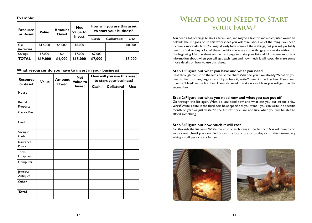**Example:**

| <b>Resource</b><br>or Asset | <b>Value</b> | <b>Amount</b><br>Owed | <b>Net</b><br><b>Value to</b> | How will you use this asset<br>to start your business? |  |            |
|-----------------------------|--------------|-----------------------|-------------------------------|--------------------------------------------------------|--|------------|
|                             |              |                       | Invest                        | <b>Collateral</b><br>Cash                              |  | <b>Use</b> |
| Car<br>(mini-van)           | \$12,000     | \$4,000               | \$8,000                       |                                                        |  | \$8,000    |
| <b>Savings</b>              | \$7,000      | \$0                   | \$7,000                       | \$7,000                                                |  |            |
| <b>TOTAL</b>                | \$19,000     | \$4,000               | \$15,000                      | \$7,000                                                |  | \$8,000    |

**What resources do you have to invest in your business?**

| <b>Resource</b>      | <b>Value</b> | <b>Amount</b> | <b>Net</b><br><b>Value to</b> |      | How will you use this asset<br>to start your business? |            |
|----------------------|--------------|---------------|-------------------------------|------|--------------------------------------------------------|------------|
| or Asset             |              | Owed          | Invest                        | Cash | <b>Collateral</b>                                      | <b>Use</b> |
| House                |              |               |                               |      |                                                        |            |
| Rental<br>Property   |              |               |                               |      |                                                        |            |
| Car or Van           |              |               |                               |      |                                                        |            |
| Land                 |              |               |                               |      |                                                        |            |
| Savings/<br>Cash     |              |               |                               |      |                                                        |            |
| Insurance<br>Policy  |              |               |                               |      |                                                        |            |
| Tools/<br>Equipment  |              |               |                               |      |                                                        |            |
| Computer             |              |               |                               |      |                                                        |            |
| Jewelry/<br>Antiques |              |               |                               |      |                                                        |            |
| Other                |              |               |                               |      |                                                        |            |
| <b>Total</b>         |              |               |                               |      |                                                        |            |

### WHAT DO YOU NEED TO START **your Farm?**

You need a lot of things to start a farm: land, and maybe a tractor, and a computer would be helpful! The list goes on. In this worksheet you will think about all of the things you need to have a successful farm. You may already have some of these things, but you will probably need to find or buy a lot of them. Luckily, there are some things you can do without in the beginning. Use the sheet on the next page to make your list and fill in some important information about when you will get each item and how much it will cost. Here are some more details on how to use this sheet:

#### **Step 1: Figure out what you have and what you need**

Reat through the list on the left side of the chart. What do you have already? What do you need to find, borrow, buy, or rent? If you have it, write "Have" in the first box. If you need it, write "Need" in the first box. If you still need it, make note of how you will get it in the second box.

#### **Step 2: Figure out what you need now and what you can put off**

Go through the list again. What do you need now and what can you put off for a few years? Write a date in the third box. Be as specific as you want—you can write in a specific month or year or just write "in the future" if you are not sure when you will be able to afford something.

#### **Step 3: Figure out how much it will cost**

Go through the list again. Write the cost of each item in the last box. You will have to do some research—if you can't find prices in a local store or catalog or on the internet, try asking a staff person or a farmer.

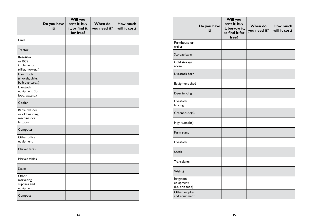|                                                             | Do you have<br>it? | <b>Will you</b><br>rent it, buy<br>it, or find it<br>for free? | When do<br>you need it? | How much<br>will it cost? |
|-------------------------------------------------------------|--------------------|----------------------------------------------------------------|-------------------------|---------------------------|
| Land                                                        |                    |                                                                |                         |                           |
| <b>Tractor</b>                                              |                    |                                                                |                         |                           |
| Rototiller<br>or BCS<br>implements<br>(tiller, mower)       |                    |                                                                |                         |                           |
| <b>Hand Tools</b><br>(shovels, picks,<br>bulb planters)     |                    |                                                                |                         |                           |
| Livestock<br>equipment (for<br>food, water)                 |                    |                                                                |                         |                           |
| Cooler                                                      |                    |                                                                |                         |                           |
| Barrel washer<br>or old washing<br>machine (for<br>lettuce) |                    |                                                                |                         |                           |
| Computer                                                    |                    |                                                                |                         |                           |
| Other office<br>equipment                                   |                    |                                                                |                         |                           |
| Market tents                                                |                    |                                                                |                         |                           |
| Market tables                                               |                    |                                                                |                         |                           |
| <b>Scales</b>                                               |                    |                                                                |                         |                           |
| Other<br>marketing<br>supplies and<br>equipment             |                    |                                                                |                         |                           |
| Compost                                                     |                    |                                                                |                         |                           |

|                                             | Do you have<br>it? | Will you<br>rent it, buy<br>it, borrow it,<br>or find it for<br>free? | When do<br>you need it? | How much<br>will it cost? |
|---------------------------------------------|--------------------|-----------------------------------------------------------------------|-------------------------|---------------------------|
| Farmhouse or<br>trailer                     |                    |                                                                       |                         |                           |
| Storage barn                                |                    |                                                                       |                         |                           |
| Cold storage<br>room                        |                    |                                                                       |                         |                           |
| Livestock barn                              |                    |                                                                       |                         |                           |
| Equipment shed                              |                    |                                                                       |                         |                           |
| Deer fencing                                |                    |                                                                       |                         |                           |
| Livestock<br>fencing                        |                    |                                                                       |                         |                           |
| Greenhouse(s)                               |                    |                                                                       |                         |                           |
| High tunnel(s)                              |                    |                                                                       |                         |                           |
| Farm stand                                  |                    |                                                                       |                         |                           |
| Livestock                                   |                    |                                                                       |                         |                           |
| <b>Seeds</b>                                |                    |                                                                       |                         |                           |
| Transplants                                 |                    |                                                                       |                         |                           |
| Well(s)                                     |                    |                                                                       |                         |                           |
| Irrigation<br>equipment<br>(i.e. drip tape) |                    |                                                                       |                         |                           |
| Other supplies<br>and equipment             |                    |                                                                       |                         |                           |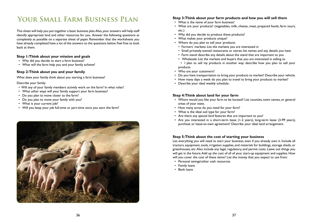### **Your Small Farm Business Plan**

This sheet will help you put together a basic business plan. Also, your answers will help staff identify appropriate land and other resources for you. Answer the following questions as completely as possible on a separate sheet of paper. Remember that the worksheets you have already completed have a lot of the answers to the questions below. Feel free to look back at them.

#### **Step 1: Think about your mission and goals**

- Why did you decide to start a farm business?
- What will the farm help you and your family achieve?

#### **Step 2: Think about you and your family**

What does your family think about you starting a farm business?

Describe your family:

- Will any of your family members actively work on the farm? In what roles?
- What other ways will your family support your farm business?
- Do you plan to move closer to the farm?
- Do you plan to move your family with you?
- What is your current job?
- Will you keep your job full-time or part-time once you start the farm?



#### **Step 3: Think about your farm products and how you will sell them**

- What is the name of your farm business?
- What are your products? (vegetables, milk, cheese, meat, prepared foods, farm tours, etc.)
- Why did you decide to produce these products?
- What makes your products unique?
- Where do you plan to sell your products:
- Farmers' markets: List the markets you are interested in
- Small privately-owned restaurants or stores: list names and any details you have
- Farm stand: describe any details about the stand that are important to you
- Wholesale: List the markets and buyers that you are interested in selling to
- I plan to sell my products in another way: describe how you plan to sell your products
- Who are your customers?
- Do you have transportation to bring your products to market? Describe your vehicle.
- How many days a week do you plan to travel to bring your products to market?
- Describe your ideal weekly schedule.

#### **Step 4: Think about land for your farm**

- Where would you like your farm to be located? List counties, town names, or general areas of your state.
- How many acres do you need for your farm?
- What is the ideal soil type for your farm?
- Are there any special land features that are important to you?
- Are you interested in a short-term lease (1-2 years), long-term lease (3-99 years), purchase or lease-to-own agreement? Describe your ideal land arrangement.

#### **Step 5: Think about the cost of starting your business**

List everything you will need to start your business, even if you already own it. Include all tractors, equipment, tools, irrigation supplies, and materials for buildings, storage sheds, or greenhouses, etc. Also include any legal, regulatory, and permit costs. Leave out things you will get in the future. Add up the cost of all of your start-up equipment and supplies. How will you cover the cost of these items? List the money that you expect to use from:

- Personal savings/other cash resources
- Family loans
- Bank loans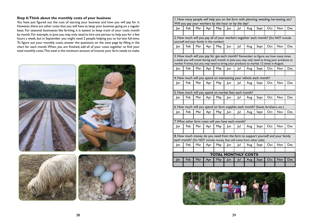#### **Step 6: Think about the monthly costs of your business**

You have just figured out the cost of starting your business and how you will pay for it. However, there are other costs that you will have to keep your business going on a regular basis. For seasonal businesses like farming, it is easiest to keep track of your costs month by month. For example, in June you may only need to hire one person to help you for a few hours a week, but in September you might need 2 people helping you to harvest full-time. To figure out your monthly costs, answer the questions on the next page by filling in the chart for each month. When you are finished, add all of your costs together to find your total monthly costs. This total is the minimum amount of income your farm needs to make.



|                                                                                                                                                      | I. How many people will help you on the farm with planning, weeding, harvesting, etc?<br>Will you pay your workers by the hour or by the day?                                                                                                                                |     |     |     |                            |     |     |      |     |     |            |
|------------------------------------------------------------------------------------------------------------------------------------------------------|------------------------------------------------------------------------------------------------------------------------------------------------------------------------------------------------------------------------------------------------------------------------------|-----|-----|-----|----------------------------|-----|-----|------|-----|-----|------------|
| Jan                                                                                                                                                  | Feb                                                                                                                                                                                                                                                                          | Mar | Apr | May | <b>Jun</b>                 | Jul | Aug | Sept | Oct | Nov | <b>Dec</b> |
|                                                                                                                                                      |                                                                                                                                                                                                                                                                              |     |     |     |                            |     |     |      |     |     |            |
|                                                                                                                                                      | 2. How much will you pay all of your workers together each month? (Do NOT include<br>yourself and your family in this number)                                                                                                                                                |     |     |     |                            |     |     |      |     |     |            |
| Jan                                                                                                                                                  | Feb                                                                                                                                                                                                                                                                          | Mar | Apr | May | Jun                        | Jul | Aug | Sept | Oct | Nov | <b>Dec</b> |
|                                                                                                                                                      | 3. How much will you pay for gas each month? Remember to figure out how many times<br>a week you will travel during each month. In June you may only need to bring your products to<br>market 4 times, but you may need to bring your products to market 12 times in August. |     |     |     |                            |     |     |      |     |     |            |
| Jan                                                                                                                                                  | Feb                                                                                                                                                                                                                                                                          | Mar | Apr | May | <b>Jun</b>                 | Jul | Aug | Sept | Oct | Nov | <b>Dec</b> |
|                                                                                                                                                      |                                                                                                                                                                                                                                                                              |     |     |     |                            |     |     |      |     |     |            |
|                                                                                                                                                      | 4. How much will you spend on maintaining your vehicle each month?                                                                                                                                                                                                           |     |     |     |                            |     |     |      |     |     |            |
| Jan                                                                                                                                                  | Feb                                                                                                                                                                                                                                                                          | Mar | Apr | May | Jun                        | Jul | Aug | Sept | Oct | Nov | Dec        |
|                                                                                                                                                      |                                                                                                                                                                                                                                                                              |     |     |     |                            |     |     |      |     |     |            |
|                                                                                                                                                      | 5. How much will you spend on market fees each month?                                                                                                                                                                                                                        |     |     |     |                            |     |     |      |     |     |            |
| Jan                                                                                                                                                  | Feb                                                                                                                                                                                                                                                                          | Mar | Apr | May | Jun                        | Jul | Aug | Sept | Oct | Nov | Dec        |
|                                                                                                                                                      | 6. How much will you spend on farm supplies each month? (Seeds, fertilizers, etc.)                                                                                                                                                                                           |     |     |     |                            |     |     |      |     |     |            |
| Jan                                                                                                                                                  | Feb                                                                                                                                                                                                                                                                          | Mar | Apr | May | <b>Jun</b>                 | Jul | Aug | Sept | Oct | Nov | <b>Dec</b> |
|                                                                                                                                                      |                                                                                                                                                                                                                                                                              |     |     |     |                            |     |     |      |     |     |            |
|                                                                                                                                                      | 7. What other farm costs will you have each month?                                                                                                                                                                                                                           |     |     |     |                            |     |     |      |     |     |            |
| Jan                                                                                                                                                  | Feb                                                                                                                                                                                                                                                                          | Mar | Apr | May | Jun                        | Jul | Aug | Sept | Oct | Nov | Dec        |
|                                                                                                                                                      |                                                                                                                                                                                                                                                                              |     |     |     |                            |     |     |      |     |     |            |
| 8. How much money do you need from the farm to support yourself and your family<br>each month? (Do NOT include money that will come from other jobs) |                                                                                                                                                                                                                                                                              |     |     |     |                            |     |     |      |     |     |            |
| Jan                                                                                                                                                  | Feb                                                                                                                                                                                                                                                                          | Mar | Apr | May | <b>Jun</b>                 | Jul | Aug | Sept | Oct | Nov | Dec        |
|                                                                                                                                                      |                                                                                                                                                                                                                                                                              |     |     |     |                            |     |     |      |     |     |            |
|                                                                                                                                                      |                                                                                                                                                                                                                                                                              |     |     |     | <b>TOTAL MONTHLY COSTS</b> |     |     |      |     |     |            |
| Jan                                                                                                                                                  | Feb                                                                                                                                                                                                                                                                          | Mar | Apr | May | Jun                        | Jul | Aug | Sept | Oct | Nov | <b>Dec</b> |
|                                                                                                                                                      |                                                                                                                                                                                                                                                                              |     |     |     |                            |     |     |      |     |     |            |